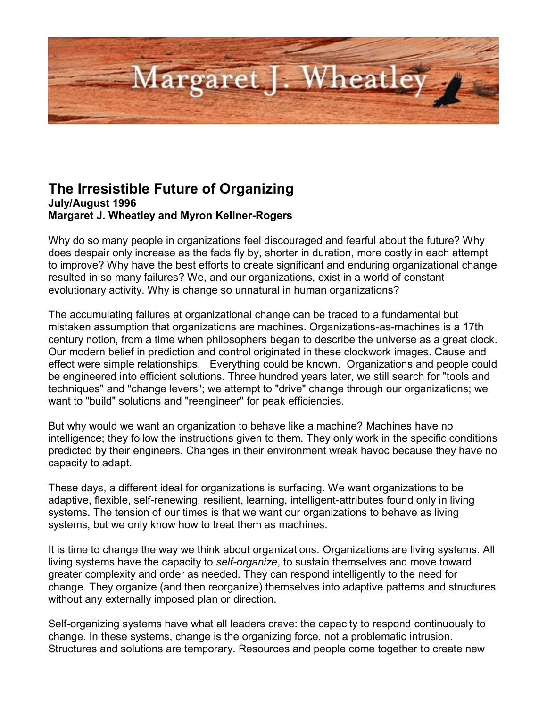

# **The Irresistible Future of Organizing July/August 1996 Margaret J. Wheatley and Myron Kellner-Rogers**

Why do so many people in organizations feel discouraged and fearful about the future? Why does despair only increase as the fads fly by, shorter in duration, more costly in each attempt to improve? Why have the best efforts to create significant and enduring organizational change resulted in so many failures? We, and our organizations, exist in a world of constant evolutionary activity. Why is change so unnatural in human organizations?

The accumulating failures at organizational change can be traced to a fundamental but mistaken assumption that organizations are machines. Organizations-as-machines is a 17th century notion, from a time when philosophers began to describe the universe as a great clock. Our modern belief in prediction and control originated in these clockwork images. Cause and effect were simple relationships. Everything could be known. Organizations and people could be engineered into efficient solutions. Three hundred years later, we still search for "tools and techniques" and "change levers"; we attempt to "drive" change through our organizations; we want to "build" solutions and "reengineer" for peak efficiencies.

But why would we want an organization to behave like a machine? Machines have no intelligence; they follow the instructions given to them. They only work in the specific conditions predicted by their engineers. Changes in their environment wreak havoc because they have no capacity to adapt.

These days, a different ideal for organizations is surfacing. We want organizations to be adaptive, flexible, self-renewing, resilient, learning, intelligent-attributes found only in living systems. The tension of our times is that we want our organizations to behave as living systems, but we only know how to treat them as machines.

It is time to change the way we think about organizations*.* Organizations are living systems. All living systems have the capacity to *self-organize*, to sustain themselves and move toward greater complexity and order as needed. They can respond intelligently to the need for change. They organize (and then reorganize) themselves into adaptive patterns and structures without any externally imposed plan or direction.

Self-organizing systems have what all leaders crave: the capacity to respond continuously to change. In these systems, change is the organizing force, not a problematic intrusion. Structures and solutions are temporary. Resources and people come together to create new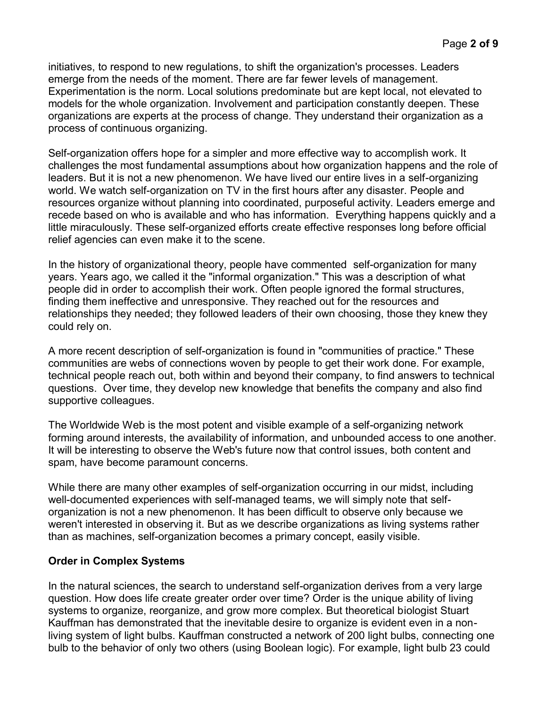initiatives, to respond to new regulations, to shift the organization's processes. Leaders emerge from the needs of the moment. There are far fewer levels of management. Experimentation is the norm. Local solutions predominate but are kept local, not elevated to models for the whole organization. Involvement and participation constantly deepen. These organizations are experts at the process of change. They understand their organization as a process of continuous organizing.

Self-organization offers hope for a simpler and more effective way to accomplish work. It challenges the most fundamental assumptions about how organization happens and the role of leaders. But it is not a new phenomenon. We have lived our entire lives in a self-organizing world. We watch self-organization on TV in the first hours after any disaster. People and resources organize without planning into coordinated, purposeful activity. Leaders emerge and recede based on who is available and who has information. Everything happens quickly and a little miraculously. These self-organized efforts create effective responses long before official relief agencies can even make it to the scene.

In the history of organizational theory, people have commented self-organization for many years. Years ago, we called it the "informal organization." This was a description of what people did in order to accomplish their work. Often people ignored the formal structures, finding them ineffective and unresponsive. They reached out for the resources and relationships they needed; they followed leaders of their own choosing, those they knew they could rely on.

A more recent description of self-organization is found in "communities of practice." These communities are webs of connections woven by people to get their work done. For example, technical people reach out, both within and beyond their company, to find answers to technical questions. Over time, they develop new knowledge that benefits the company and also find supportive colleagues.

The Worldwide Web is the most potent and visible example of a self-organizing network forming around interests, the availability of information, and unbounded access to one another. It will be interesting to observe the Web's future now that control issues, both content and spam, have become paramount concerns.

While there are many other examples of self-organization occurring in our midst, including well-documented experiences with self-managed teams, we will simply note that selforganization is not a new phenomenon. It has been difficult to observe only because we weren't interested in observing it. But as we describe organizations as living systems rather than as machines, self-organization becomes a primary concept, easily visible.

## **Order in Complex Systems**

In the natural sciences, the search to understand self-organization derives from a very large question. How does life create greater order over time? Order is the unique ability of living systems to organize, reorganize, and grow more complex. But theoretical biologist Stuart Kauffman has demonstrated that the inevitable desire to organize is evident even in a nonliving system of light bulbs. Kauffman constructed a network of 200 light bulbs, connecting one bulb to the behavior of only two others (using Boolean logic). For example, light bulb 23 could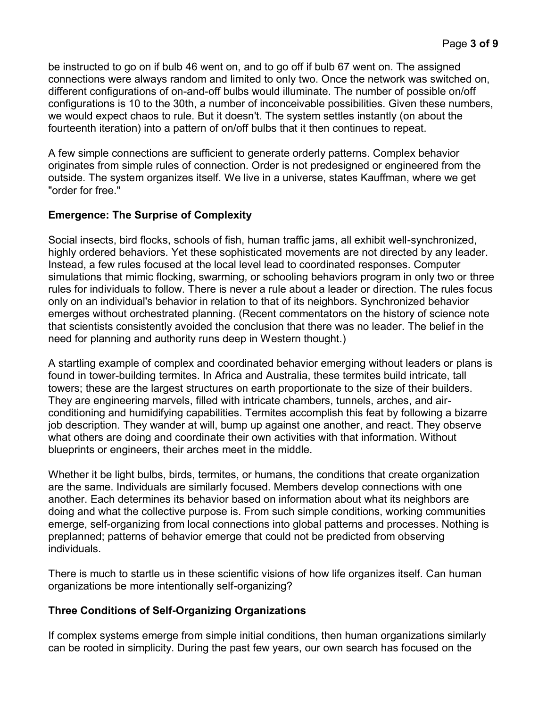be instructed to go on if bulb 46 went on, and to go off if bulb 67 went on. The assigned connections were always random and limited to only two. Once the network was switched on, different configurations of on-and-off bulbs would illuminate. The number of possible on/off configurations is 10 to the 30th, a number of inconceivable possibilities. Given these numbers, we would expect chaos to rule. But it doesn't. The system settles instantly (on about the fourteenth iteration) into a pattern of on/off bulbs that it then continues to repeat.

A few simple connections are sufficient to generate orderly patterns. Complex behavior originates from simple rules of connection. Order is not predesigned or engineered from the outside. The system organizes itself. We live in a universe, states Kauffman, where we get "order for free."

## **Emergence: The Surprise of Complexity**

Social insects, bird flocks, schools of fish, human traffic jams, all exhibit well-synchronized, highly ordered behaviors. Yet these sophisticated movements are not directed by any leader. Instead, a few rules focused at the local level lead to coordinated responses. Computer simulations that mimic flocking, swarming, or schooling behaviors program in only two or three rules for individuals to follow. There is never a rule about a leader or direction. The rules focus only on an individual's behavior in relation to that of its neighbors. Synchronized behavior emerges without orchestrated planning. (Recent commentators on the history of science note that scientists consistently avoided the conclusion that there was no leader. The belief in the need for planning and authority runs deep in Western thought.)

A startling example of complex and coordinated behavior emerging without leaders or plans is found in tower-building termites. In Africa and Australia, these termites build intricate, tall towers; these are the largest structures on earth proportionate to the size of their builders. They are engineering marvels, filled with intricate chambers, tunnels, arches, and airconditioning and humidifying capabilities. Termites accomplish this feat by following a bizarre job description. They wander at will, bump up against one another, and react. They observe what others are doing and coordinate their own activities with that information. Without blueprints or engineers, their arches meet in the middle.

Whether it be light bulbs, birds, termites, or humans, the conditions that create organization are the same. Individuals are similarly focused. Members develop connections with one another. Each determines its behavior based on information about what its neighbors are doing and what the collective purpose is. From such simple conditions, working communities emerge, self-organizing from local connections into global patterns and processes. Nothing is preplanned; patterns of behavior emerge that could not be predicted from observing individuals.

There is much to startle us in these scientific visions of how life organizes itself. Can human organizations be more intentionally self-organizing?

## **Three Conditions of Self-Organizing Organizations**

If complex systems emerge from simple initial conditions, then human organizations similarly can be rooted in simplicity. During the past few years, our own search has focused on the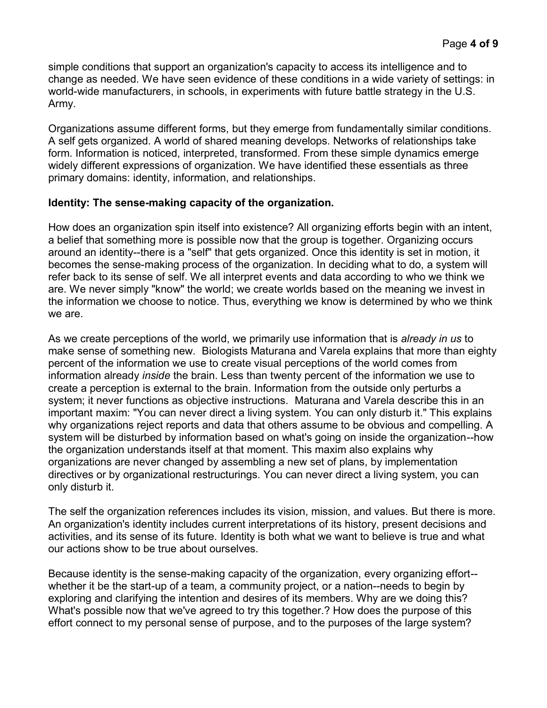simple conditions that support an organization's capacity to access its intelligence and to change as needed. We have seen evidence of these conditions in a wide variety of settings: in world-wide manufacturers, in schools, in experiments with future battle strategy in the U.S. Army.

Organizations assume different forms, but they emerge from fundamentally similar conditions. A self gets organized. A world of shared meaning develops. Networks of relationships take form. Information is noticed, interpreted, transformed. From these simple dynamics emerge widely different expressions of organization. We have identified these essentials as three primary domains: identity, information, and relationships.

### **Identity: The sense-making capacity of the organization.**

How does an organization spin itself into existence? All organizing efforts begin with an intent, a belief that something more is possible now that the group is together. Organizing occurs around an identity--there is a "self" that gets organized. Once this identity is set in motion, it becomes the sense-making process of the organization. In deciding what to do, a system will refer back to its sense of self. We all interpret events and data according to who we think we are. We never simply "know" the world; we create worlds based on the meaning we invest in the information we choose to notice. Thus, everything we know is determined by who we think we are.

As we create perceptions of the world, we primarily use information that is *already in us* to make sense of something new. Biologists Maturana and Varela explains that more than eighty percent of the information we use to create visual perceptions of the world comes from information already *inside* the brain. Less than twenty percent of the information we use to create a perception is external to the brain. Information from the outside only perturbs a system; it never functions as objective instructions. Maturana and Varela describe this in an important maxim: "You can never direct a living system. You can only disturb it." This explains why organizations reject reports and data that others assume to be obvious and compelling. A system will be disturbed by information based on what's going on inside the organization--how the organization understands itself at that moment. This maxim also explains why organizations are never changed by assembling a new set of plans, by implementation directives or by organizational restructurings. You can never direct a living system, you can only disturb it.

The self the organization references includes its vision, mission, and values. But there is more. An organization's identity includes current interpretations of its history, present decisions and activities, and its sense of its future. Identity is both what we want to believe is true and what our actions show to be true about ourselves.

Because identity is the sense-making capacity of the organization, every organizing effort- whether it be the start-up of a team, a community project, or a nation--needs to begin by exploring and clarifying the intention and desires of its members. Why are we doing this? What's possible now that we've agreed to try this together.? How does the purpose of this effort connect to my personal sense of purpose, and to the purposes of the large system?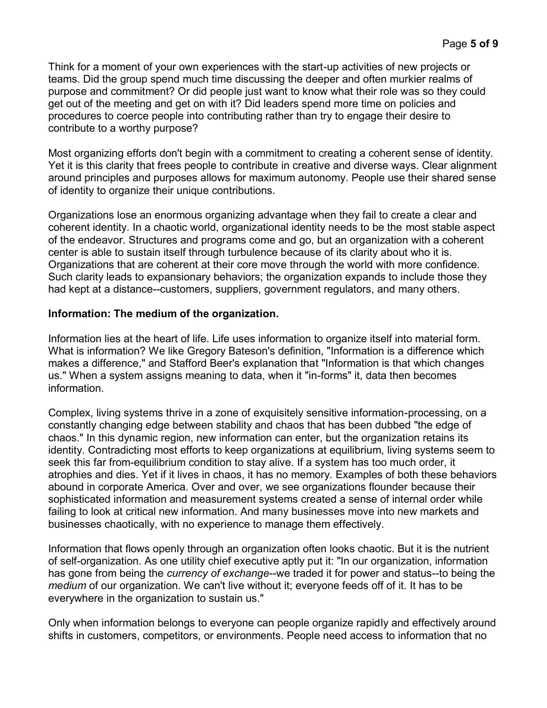Most organizing efforts don't begin with a commitment to creating a coherent sense of identity. Yet it is this clarity that frees people to contribute in creative and diverse ways. Clear alignment around principles and purposes allows for maximum autonomy. People use their shared sense of identity to organize their unique contributions.

Organizations lose an enormous organizing advantage when they fail to create a clear and coherent identity. In a chaotic world, organizational identity needs to be the most stable aspect of the endeavor. Structures and programs come and go, but an organization with a coherent center is able to sustain itself through turbulence because of its clarity about who it is. Organizations that are coherent at their core move through the world with more confidence. Such clarity leads to expansionary behaviors; the organization expands to include those they had kept at a distance--customers, suppliers, government regulators, and many others.

## **Information: The medium of the organization.**

Information lies at the heart of life. Life uses information to organize itself into material form. What is information? We like Gregory Bateson's definition, "Information is a difference which makes a difference," and Stafford Beer's explanation that "Information is that which changes us." When a system assigns meaning to data, when it "in-forms" it, data then becomes information.

Complex, living systems thrive in a zone of exquisitely sensitive information-processing, on a constantly changing edge between stability and chaos that has been dubbed "the edge of chaos." In this dynamic region, new information can enter, but the organization retains its identity. Contradicting most efforts to keep organizations at equilibrium, living systems seem to seek this far from-equilibrium condition to stay alive. If a system has too much order, it atrophies and dies. Yet if it lives in chaos, it has no memory. Examples of both these behaviors abound in corporate America. Over and over, we see organizations flounder because their sophisticated information and measurement systems created a sense of internal order while failing to look at critical new information. And many businesses move into new markets and businesses chaotically, with no experience to manage them effectively.

Information that flows openly through an organization often looks chaotic. But it is the nutrient of self-organization. As one utility chief executive aptly put it: "In our organization, information has gone from being the *currency of exchange*--we traded it for power and status--to being the *medium* of our organization. We can't live without it; everyone feeds off of it. It has to be everywhere in the organization to sustain us."

Only when information belongs to everyone can people organize rapidly and effectively around shifts in customers, competitors, or environments. People need access to information that no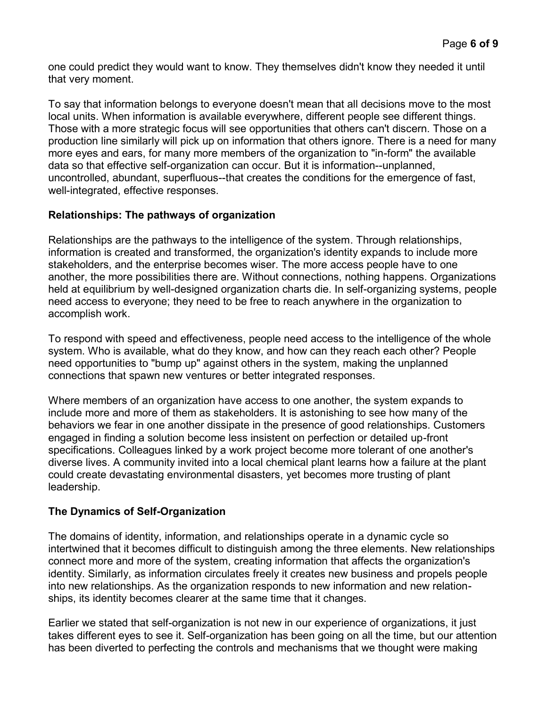one could predict they would want to know. They themselves didn't know they needed it until that very moment.

To say that information belongs to everyone doesn't mean that all decisions move to the most local units. When information is available everywhere, different people see different things. Those with a more strategic focus will see opportunities that others can't discern. Those on a production line similarly will pick up on information that others ignore. There is a need for many more eyes and ears, for many more members of the organization to "in-form" the available data so that effective self-organization can occur. But it is information--unplanned, uncontrolled, abundant, superfluous--that creates the conditions for the emergence of fast, well-integrated, effective responses.

## **Relationships: The pathways of organization**

Relationships are the pathways to the intelligence of the system. Through relationships, information is created and transformed, the organization's identity expands to include more stakeholders, and the enterprise becomes wiser. The more access people have to one another, the more possibilities there are. Without connections, nothing happens. Organizations held at equilibrium by well-designed organization charts die. In self-organizing systems, people need access to everyone; they need to be free to reach anywhere in the organization to accomplish work.

To respond with speed and effectiveness, people need access to the intelligence of the whole system. Who is available, what do they know, and how can they reach each other? People need opportunities to "bump up" against others in the system, making the unplanned connections that spawn new ventures or better integrated responses.

Where members of an organization have access to one another, the system expands to include more and more of them as stakeholders. It is astonishing to see how many of the behaviors we fear in one another dissipate in the presence of good relationships. Customers engaged in finding a solution become less insistent on perfection or detailed up-front specifications. Colleagues linked by a work project become more tolerant of one another's diverse lives. A community invited into a local chemical plant learns how a failure at the plant could create devastating environmental disasters, yet becomes more trusting of plant leadership.

## **The Dynamics of Self-Organization**

The domains of identity, information, and relationships operate in a dynamic cycle so intertwined that it becomes difficult to distinguish among the three elements. New relationships connect more and more of the system, creating information that affects the organization's identity. Similarly, as information circulates freely it creates new business and propels people into new relationships. As the organization responds to new information and new relationships, its identity becomes clearer at the same time that it changes.

Earlier we stated that self-organization is not new in our experience of organizations, it just takes different eyes to see it. Self-organization has been going on all the time, but our attention has been diverted to perfecting the controls and mechanisms that we thought were making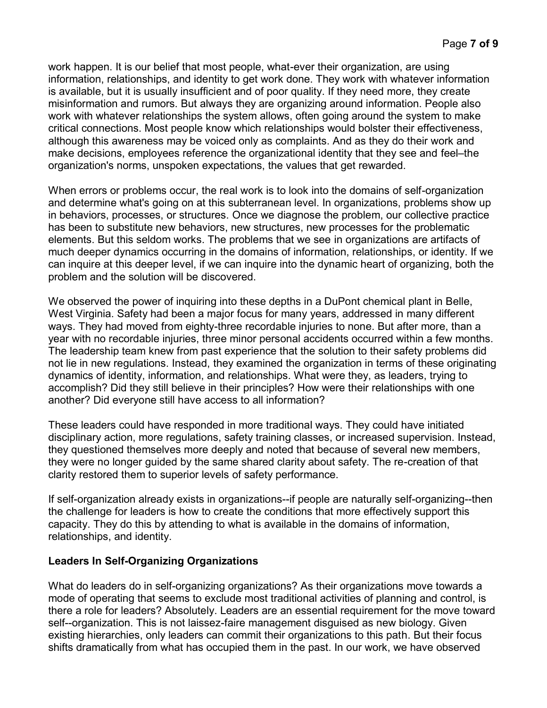work happen. It is our belief that most people, what-ever their organization, are using information, relationships, and identity to get work done. They work with whatever information is available, but it is usually insufficient and of poor quality. If they need more, they create misinformation and rumors. But always they are organizing around information. People also work with whatever relationships the system allows, often going around the system to make critical connections. Most people know which relationships would bolster their effectiveness, although this awareness may be voiced only as complaints. And as they do their work and make decisions, employees reference the organizational identity that they see and feel–the organization's norms, unspoken expectations, the values that get rewarded.

When errors or problems occur, the real work is to look into the domains of self-organization and determine what's going on at this subterranean level. In organizations, problems show up in behaviors, processes, or structures. Once we diagnose the problem, our collective practice has been to substitute new behaviors, new structures, new processes for the problematic elements. But this seldom works. The problems that we see in organizations are artifacts of much deeper dynamics occurring in the domains of information, relationships, or identity. If we can inquire at this deeper level, if we can inquire into the dynamic heart of organizing, both the problem and the solution will be discovered.

We observed the power of inquiring into these depths in a DuPont chemical plant in Belle, West Virginia. Safety had been a major focus for many years, addressed in many different ways. They had moved from eighty-three recordable injuries to none. But after more, than a year with no recordable injuries, three minor personal accidents occurred within a few months. The leadership team knew from past experience that the solution to their safety problems did not lie in new regulations. Instead, they examined the organization in terms of these originating dynamics of identity, information, and relationships. What were they, as leaders, trying to accomplish? Did they still believe in their principles? How were their relationships with one another? Did everyone still have access to all information?

These leaders could have responded in more traditional ways. They could have initiated disciplinary action, more regulations, safety training classes, or increased supervision. Instead, they questioned themselves more deeply and noted that because of several new members, they were no longer guided by the same shared clarity about safety. The re-creation of that clarity restored them to superior levels of safety performance.

If self-organization already exists in organizations--if people are naturally self-organizing--then the challenge for leaders is how to create the conditions that more effectively support this capacity. They do this by attending to what is available in the domains of information, relationships, and identity.

## **Leaders In Self-Organizing Organizations**

What do leaders do in self-organizing organizations? As their organizations move towards a mode of operating that seems to exclude most traditional activities of planning and control, is there a role for leaders? Absolutely. Leaders are an essential requirement for the move toward self--organization. This is not laissez-faire management disguised as new biology. Given existing hierarchies, only leaders can commit their organizations to this path. But their focus shifts dramatically from what has occupied them in the past. In our work, we have observed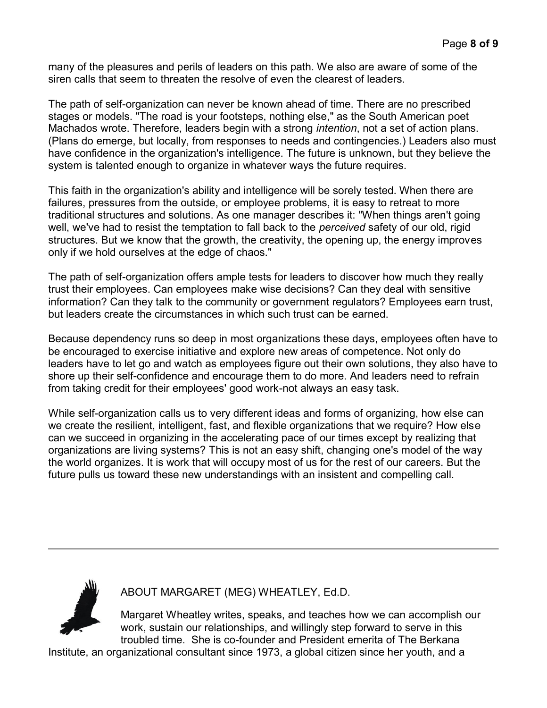many of the pleasures and perils of leaders on this path. We also are aware of some of the siren calls that seem to threaten the resolve of even the clearest of leaders.

The path of self-organization can never be known ahead of time. There are no prescribed stages or models. "The road is your footsteps, nothing else," as the South American poet Machados wrote. Therefore, leaders begin with a strong *intention*, not a set of action plans. (Plans do emerge, but locally, from responses to needs and contingencies.) Leaders also must have confidence in the organization's intelligence. The future is unknown, but they believe the system is talented enough to organize in whatever ways the future requires.

This faith in the organization's ability and intelligence will be sorely tested. When there are failures, pressures from the outside, or employee problems, it is easy to retreat to more traditional structures and solutions. As one manager describes it: "When things aren't going well, we've had to resist the temptation to fall back to the *perceived* safety of our old, rigid structures. But we know that the growth, the creativity, the opening up, the energy improves only if we hold ourselves at the edge of chaos."

The path of self-organization offers ample tests for leaders to discover how much they really trust their employees. Can employees make wise decisions? Can they deal with sensitive information? Can they talk to the community or government regulators? Employees earn trust, but leaders create the circumstances in which such trust can be earned.

Because dependency runs so deep in most organizations these days, employees often have to be encouraged to exercise initiative and explore new areas of competence. Not only do leaders have to let go and watch as employees figure out their own solutions, they also have to shore up their self-confidence and encourage them to do more. And leaders need to refrain from taking credit for their employees' good work-not always an easy task.

While self-organization calls us to very different ideas and forms of organizing, how else can we create the resilient, intelligent, fast, and flexible organizations that we require? How else can we succeed in organizing in the accelerating pace of our times except by realizing that organizations are living systems? This is not an easy shift, changing one's model of the way the world organizes. It is work that will occupy most of us for the rest of our careers. But the future pulls us toward these new understandings with an insistent and compelling call.



ABOUT MARGARET (MEG) WHEATLEY, Ed.D.

Margaret Wheatley writes, speaks, and teaches how we can accomplish our work, sustain our relationships, and willingly step forward to serve in this troubled time. She is co-founder and President emerita of The Berkana

Institute, an organizational consultant since 1973, a global citizen since her youth, and a